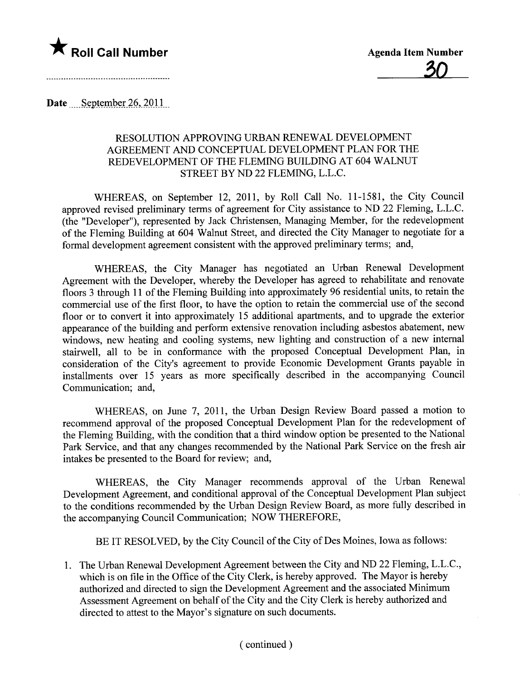

Date  $\leq$  September 26, 2011

## RESOLUTION APPROVING URBAN RENEWAL DEVELOPMENT AGREEMENT AND CONCEPTUAL DEVELOPMENT PLAN FOR THE REDEVELOPMENT OF THE FLEMING BUILDING AT 604 WALNUT STREET BY ND 22 FLEMING, L.L.C.

WHEREAS, on September 12, 2011, by Roll Call No. 11-1581, the City Council approved revised preliminary terms of agreement for City assistance to ND 22 Fleming, L.L.C. (the "Developer"), represented by Jack Christensen, Managing Member, for the redevelopment of the Fleming Building at 604 Walnut Street, and directed the City Manager to negotiate for a formal development agreement consistent with the approved preliminary terms; and,

WHEREAS, the City Manager has negotiated an Urban Renewal Development Agreement with the Developer, whereby the Developer has agreed to rehabilitate and renovate floors 3 through 11 of the Fleming Building into approximately 96 residential units, to retain the commercial use of the first floor, to have the option to retain the commercial use of the second floor or to convert it into approximately 15 additional aparments, and to upgrade the exterior appearance of the building and perform extensive renovation including asbestos abatement, new windows, new heating and cooling systems, new lighting and construction of a new internal stairwell, all to be in conformance with the proposed Conceptual Development Plan, in consideration of the City's agreement to provide Economic Development Grants payable in installments over 15 years as more specifically described in the accompanying Council Communication; and,

WHEREAS, on June 7, 2011, the Urban Design Review Board passed a motion to recommend approval of the proposed Conceptual Development Plan for the redevelopment of the Fleming Building, with the condition that a third window option be presented to the National Park Service, and that any changes recommended by the National Park Service on the fresh air intakes be presented to the Board for review; and,

WHEREAS, the City Manager recommends approval of the Urban Renewal Development Agreement, and conditional approval of the Conceptual Development Plan subject to the conditions recommended by the Urban Design Review Board, as more fully described in the accompanying Council Communication; NOW THEREFORE,

BE IT RESOLVED, by the City Council of the City of Des Moines, Iowa as follows:

1. The Urban Renewal Development Agreement between the City and ND 22 Fleming, L.L.C., which is on file in the Office of the City Clerk, is hereby approved. The Mayor is hereby authorized and directed to sign the Development Agreement and the associated Minimum Assessment Agreement on behalf of the City and the City Clerk is hereby authorized and directed to attest to the Mayor's signature on such documents.